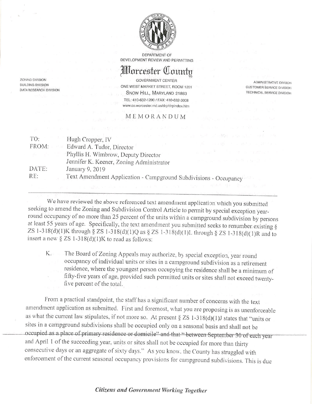

**DEPARTMENT OF** DEVELOPMENT REVIEW AND PERMITTING

## *Horcester County*

**ZONING DIVISION BUILDING DIVISION DATA RESEARCH DIVISION** 

**GOVERNMENT CENTER** ONE WEST MARKET STREET, ROOM 1201 SNOW HILL, MARYLAND 21863 TEL: 410-632-1200 / FAX: 410-632-3008 www.co.worcester.md.us/drp/drpindex.htm

## MEMORANDUM

**ADMINISTRATIVE DIVISON CUSTOMER SERVICE DIVISION** TECHNICAL SERVICE DIVISION

| TO:    | in the contract of the contract of the contract of the contract of the contract of the contract of the contract of the contract of the contract of the contract of the contract of the contract of the contract of the contrac<br>Hugh Cropper, IV |                                                 |
|--------|----------------------------------------------------------------------------------------------------------------------------------------------------------------------------------------------------------------------------------------------------|-------------------------------------------------|
| FROM:  | Edward A. Tudor, Director                                                                                                                                                                                                                          | 40 - 日本 318 - 1 - 1 - 330                       |
| - stàn | Phyllis H. Wimbrow, Deputy Director                                                                                                                                                                                                                | $\mathbf{r} = \mathbf{r} \times \mathbf{r}$     |
|        | Jennifer K. Keener, Zoning Administrator                                                                                                                                                                                                           | where $\mu_{\rm{max}}=0.1$ and $\lambda=1.00$ . |
| DATE:  | January 9, 2019                                                                                                                                                                                                                                    |                                                 |
| RE:    | Text Amendment Application - Campground Subdivisions - Occupancy                                                                                                                                                                                   |                                                 |

We have reviewed the above referenced text amendment application which you submitted seeking to amend the Zoning and Subdivision Control Article to permit by special exception yearround occupancy of no more than 25 percent of the units within a campground subdivision by persons at least 55 years of age. Specifically, the text amendment you submitted seeks to renumber existing § ZS 1-318(d)(1)K through § ZS 1-318(d)(1)Q as § ZS 1-318(d)(1)L through § ZS 1-318(d)(1)R and to insert a new  $\S ZS 1-318(d)(1)K$  to read as follows:

The Board of Zoning Appeals may authorize, by special exception, year round К. occupancy of individual units or sites in a campground subdivision as a retirement residence, where the youngest person occupying the residence shall be a minimum of fifty-five years of age, provided such permitted units or sites shall not exceed twentyfive percent of the total.

From a practical standpoint, the staff has a significant number of concerns with the text amendment application as submitted. First and foremost, what you are proposing is as unenforceable as what the current law stipulates, if not more so. At present  $\S ZS 1-318(d)(1)J$  states that "units or sites in a campground subdivisions shall be occupied only on a seasonal basis and shall not be occupied as a place of primary residence or domicile" and that " between September 30 of each year and April 1 of the succeeding year, units or sites shall not be occupied for more than thirty consecutive days or an aggregate of sixty days." As you know, the County has struggled with enforcement of the current seasonal occupancy provisions for campground subdivisions. This is due

## Citizens and Government Working Together